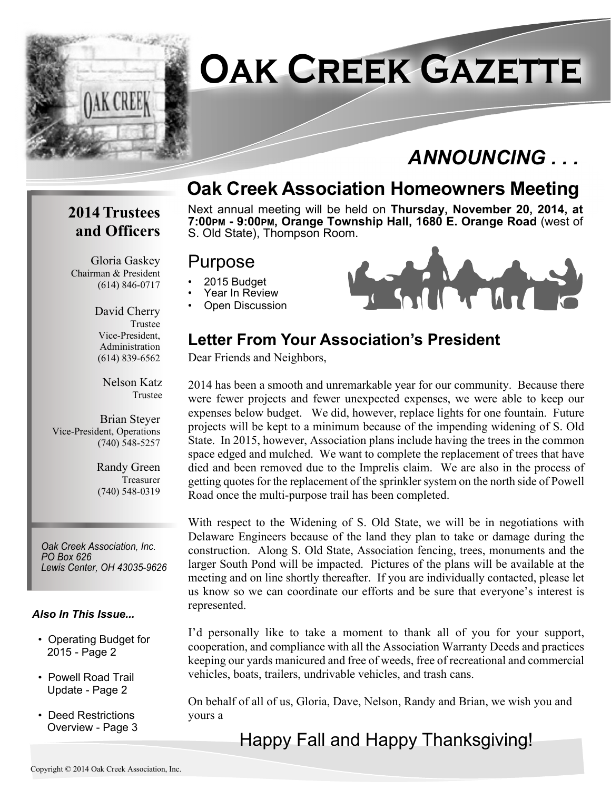

## **Oak Creek Association Homeowners Meeting**

#### **2014 Trustees and Officers**

Gloria Gaskey Chairman & President (614) 846-0717

> David Cherry Trustee Vice-President, Administration (614) 839-6562

> > Nelson Katz Trustee

Brian Steyer Vice-President, Operations (740) 548-5257

> Randy Green Treasurer (740) 548-0319

*Oak Creek Association, Inc. PO Box 626 Lewis Center, OH 43035-9626*

#### *Also In This Issue...*

- Operating Budget for 2015 - Page 2
- Powell Road Trail Update - Page 2
- Deed Restrictions Overview - Page 3

Next annual meeting will be held on **Thursday, November 20, 2014, at 7:00PM - 9:00PM, Orange Township Hall, 1680 E. Orange Road** (west of S. Old State), Thompson Room.

#### Purpose

- 2015 Budget
- Year In Review
- Open Discussion



#### **Letter From Your Association's President**

Dear Friends and Neighbors,

2014 has been a smooth and unremarkable year for our community. Because there were fewer projects and fewer unexpected expenses, we were able to keep our expenses below budget. We did, however, replace lights for one fountain. Future projects will be kept to a minimum because of the impending widening of S. Old State. In 2015, however, Association plans include having the trees in the common space edged and mulched. We want to complete the replacement of trees that have died and been removed due to the Imprelis claim. We are also in the process of getting quotes for the replacement of the sprinkler system on the north side of Powell Road once the multi-purpose trail has been completed.

With respect to the Widening of S. Old State, we will be in negotiations with Delaware Engineers because of the land they plan to take or damage during the construction. Along S. Old State, Association fencing, trees, monuments and the larger South Pond will be impacted. Pictures of the plans will be available at the meeting and on line shortly thereafter. If you are individually contacted, please let us know so we can coordinate our efforts and be sure that everyone's interest is represented.

I'd personally like to take a moment to thank all of you for your support, cooperation, and compliance with all the Association Warranty Deeds and practices keeping our yards manicured and free of weeds, free of recreational and commercial vehicles, boats, trailers, undrivable vehicles, and trash cans.

On behalf of all of us, Gloria, Dave, Nelson, Randy and Brian, we wish you and yours a

Happy Fall and Happy Thanksgiving!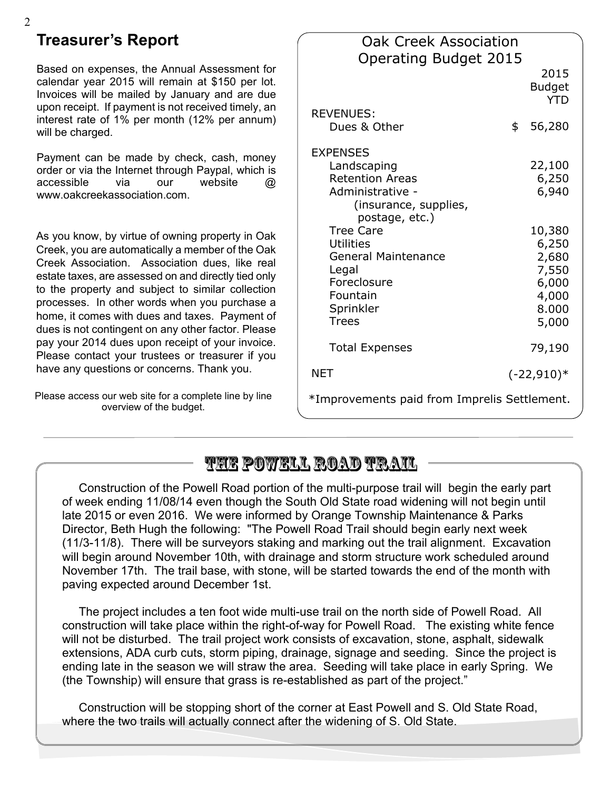## **Treasurer's Report**

Based on expenses, the Annual Assessment for calendar year 2015 will remain at \$150 per lot. Invoices will be mailed by January and are due upon receipt. If payment is not received timely, an interest rate of 1% per month (12% per annum) will be charged.

Payment can be made by check, cash, money order or via the Internet through Paypal, which is accessible via our website @ www.oakcreekassociation.com.

As you know, by virtue of owning property in Oak Creek, you are automatically a member of the Oak Creek Association. Association dues, like real estate taxes, are assessed on and directly tied only to the property and subject to similar collection processes. In other words when you purchase a home, it comes with dues and taxes. Payment of dues is not contingent on any other factor. Please pay your 2014 dues upon receipt of your invoice. Please contact your trustees or treasurer if you have any questions or concerns. Thank you.

Please access our web site for a complete line by line overview of the budget.

| <b>Oak Creek Association</b>                 |    |                                     |
|----------------------------------------------|----|-------------------------------------|
| <b>Operating Budget 2015</b>                 |    |                                     |
|                                              |    | 2015<br><b>Budget</b><br><b>YTD</b> |
| <b>REVENUES:</b>                             |    |                                     |
| Dues & Other                                 | \$ | 56,280                              |
| <b>EXPENSES</b>                              |    |                                     |
| Landscaping                                  |    | 22,100                              |
| <b>Retention Areas</b>                       |    | 6,250                               |
| Administrative -                             |    | 6,940                               |
| (insurance, supplies,                        |    |                                     |
| postage, etc.)                               |    |                                     |
| <b>Tree Care</b>                             |    | 10,380                              |
| <b>Utilities</b>                             |    | 6,250                               |
| <b>General Maintenance</b>                   |    | 2,680                               |
| Legal                                        |    | 7,550                               |
| Foreclosure                                  |    | 6,000                               |
| Fountain                                     |    | 4,000                               |
| Sprinkler                                    |    | 8.000                               |
| <b>Trees</b>                                 |    | 5,000                               |
|                                              |    |                                     |
| <b>Total Expenses</b>                        |    | 79,190                              |
| <b>NET</b>                                   |    | $(-22,910)*$                        |
| *Improvements paid from Imprelis Settlement. |    |                                     |
|                                              |    |                                     |

## **The Powell Road Trail**

 Construction of the Powell Road portion of the multi-purpose trail will begin the early part of week ending 11/08/14 even though the South Old State road widening will not begin until late 2015 or even 2016. We were informed by Orange Township Maintenance & Parks Director, Beth Hugh the following: "The Powell Road Trail should begin early next week (11/3-11/8). There will be surveyors staking and marking out the trail alignment. Excavation will begin around November 10th, with drainage and storm structure work scheduled around November 17th. The trail base, with stone, will be started towards the end of the month with paving expected around December 1st.

 The project includes a ten foot wide multi-use trail on the north side of Powell Road. All construction will take place within the right-of-way for Powell Road. The existing white fence will not be disturbed. The trail project work consists of excavation, stone, asphalt, sidewalk extensions, ADA curb cuts, storm piping, drainage, signage and seeding. Since the project is ending late in the season we will straw the area. Seeding will take place in early Spring. We (the Township) will ensure that grass is re-established as part of the project."

 Construction will be stopping short of the corner at East Powell and S. Old State Road, where the two trails will actually connect after the widening of S. Old State.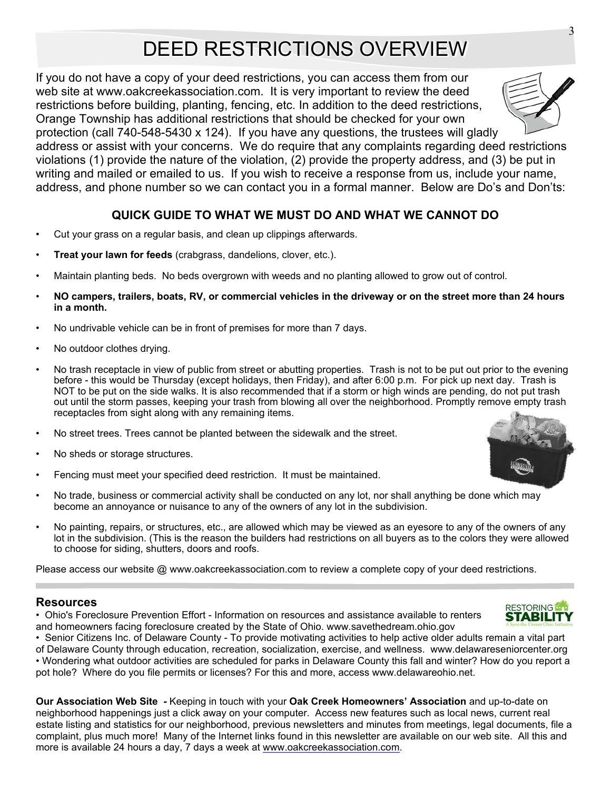## DEED RESTRICTIONS OVERVIEW

If you do not have a copy of your deed restrictions, you can access them from our web site at www.oakcreekassociation.com. It is very important to review the deed restrictions before building, planting, fencing, etc. In addition to the deed restrictions, Orange Township has additional restrictions that should be checked for your own protection (call 740-548-5430 x 124). If you have any questions, the trustees will gladly

address or assist with your concerns. We do require that any complaints regarding deed restrictions violations (1) provide the nature of the violation, (2) provide the property address, and (3) be put in writing and mailed or emailed to us. If you wish to receive a response from us, include your name, address, and phone number so we can contact you in a formal manner. Below are Do's and Don'ts:

#### **QUICK GUIDE TO WHAT WE MUST DO AND WHAT WE CANNOT DO**

- Cut your grass on a regular basis, and clean up clippings afterwards.
- **Treat your lawn for feeds** (crabgrass, dandelions, clover, etc.).
- Maintain planting beds. No beds overgrown with weeds and no planting allowed to grow out of control.
- **NO campers, trailers, boats, RV, or commercial vehicles in the driveway or on the street more than 24 hours in a month.**
- No undrivable vehicle can be in front of premises for more than 7 days.
- No outdoor clothes drying.
- No trash receptacle in view of public from street or abutting properties. Trash is not to be put out prior to the evening before - this would be Thursday (except holidays, then Friday), and after 6:00 p.m. For pick up next day. Trash is NOT to be put on the side walks. It is also recommended that if a storm or high winds are pending, do not put trash out until the storm passes, keeping your trash from blowing all over the neighborhood. Promptly remove empty trash receptacles from sight along with any remaining items.
- No street trees. Trees cannot be planted between the sidewalk and the street.
- No sheds or storage structures.
- Fencing must meet your specified deed restriction. It must be maintained.
- No trade, business or commercial activity shall be conducted on any lot, nor shall anything be done which may become an annoyance or nuisance to any of the owners of any lot in the subdivision.
- No painting, repairs, or structures, etc., are allowed which may be viewed as an eyesore to any of the owners of any lot in the subdivision. (This is the reason the builders had restrictions on all buyers as to the colors they were allowed to choose for siding, shutters, doors and roofs.

Please access our website @ www.oakcreekassociation.com to review a complete copy of your deed restrictions.

#### **Resources**

• Ohio's Foreclosure Prevention Effort - Information on resources and assistance available to renters and homeowners facing foreclosure created by the State of Ohio. www.savethedream.ohio.gov

• Senior Citizens Inc. of Delaware County - To provide motivating activities to help active older adults remain a vital part of Delaware County through education, recreation, socialization, exercise, and wellness. www.delawareseniorcenter.org • Wondering what outdoor activities are scheduled for parks in Delaware County this fall and winter? How do you report a pot hole? Where do you file permits or licenses? For this and more, access www.delawareohio.net.

**Our Association Web Site** *-* Keeping in touch with your **Oak Creek Homeowners' Association** and up-to-date on neighborhood happenings just a click away on your computer. Access new features such as local news, current real estate listing and statistics for our neighborhood, previous newsletters and minutes from meetings, legal documents, file a complaint, plus much more! Many of the Internet links found in this newsletter are available on our web site. All this and more is available 24 hours a day, 7 days a week at www.oakcreekassociation.com.